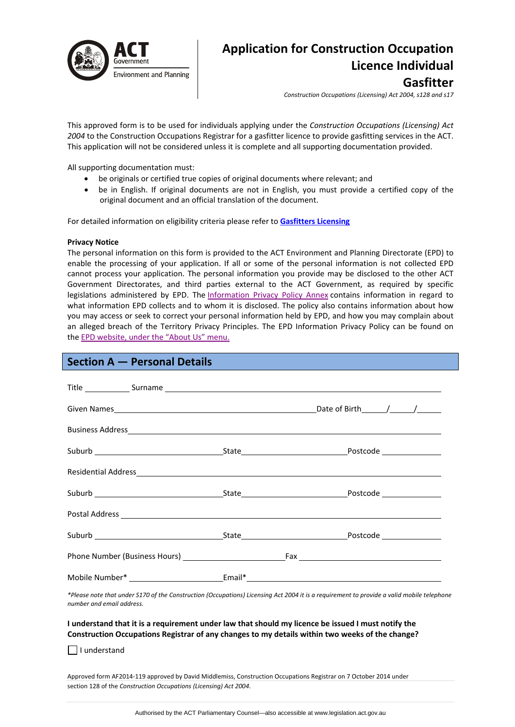

# **Application for Construction Occupation Licence Individual Gasfitter**

*Construction Occupations (Licensing) Act 2004, s128 and s17*

This approved form is to be used for individuals applying under the *Construction Occupations (Licensing) Act 2004* to the Construction Occupations Registrar for a gasfitter licence to provide gasfitting services in the ACT. This application will not be considered unless it is complete and all supporting documentation provided.

All supporting documentation must:

- be originals or certified true copies of original documents where relevant; and
- be in English. If original documents are not in English, you must provide a certified copy of the original document and an official translation of the document.

For detailed information on eligibility criteria please refer to **[Gasfitters](http://www.actpla.act.gov.au/topics/hiring_licensing/licence_registration/plumbers_drainers) Licensing**

#### **Privacy Notice**

The personal information on this form is provided to the ACT Environment and Planning Directorate (EPD) to enable the processing of your application. If all or some of the personal information is not collected EPD cannot process your application. The personal information you provide may be disclosed to the other ACT Government Directorates, and third parties external to the ACT Government, as required by specific legislations administered by EPD. The [Information](http://www.environment.act.gov.au/__data/assets/pdf_file/0006/633741/Information-Privacy-Policy-Annex.pdf) Privacy Policy Annex contains information in regard to what information EPD collects and to whom it is disclosed. The policy also contains information about how you may access or seek to correct your personal information held by EPD, and how you may complain about an alleged breach of the Territory Privacy Principles. The EPD Information Privacy Policy can be found on the EPD [website,](http://www.environment.act.gov.au/about/privacy) under the "About Us" menu.

# **Section A — Personal Details**

|  | Residential Address experience and the contract of the contract of the contract of the contract of the contract of the contract of the contract of the contract of the contract of the contract of the contract of the contrac |
|--|--------------------------------------------------------------------------------------------------------------------------------------------------------------------------------------------------------------------------------|
|  |                                                                                                                                                                                                                                |
|  |                                                                                                                                                                                                                                |
|  |                                                                                                                                                                                                                                |
|  |                                                                                                                                                                                                                                |
|  |                                                                                                                                                                                                                                |

\*Please note that under S170 of the Construction (Occupations) Licensing Act 2004 it is a requirement to provide a valid mobile telephone *number and email address.* 

#### I understand that it is a requirement under law that should my licence be issued I must notify the **Construction Occupations Registrar of any changes to my details within two weeks of the change?**

I understand

Approved form AF2014‐119 approved by David Middlemiss, Construction Occupations Registrar on 7 October 2014 under section 128 of the *Construction Occupations (Licensing) Act 2004*.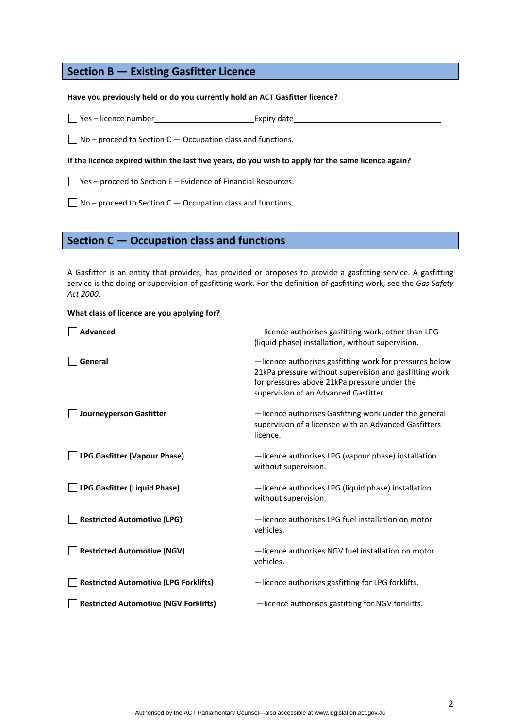# **Section B — Existing Gasfitter Licence**

#### **Have you previously held or do you currently hold an ACT Gasfitter licence?**

 $\Box$  Yes – licence number Expiry date

 $\Box$  No – proceed to Section C – Occupation class and functions.

If the licence expired within the last five years, do you wish to apply for the same licence again?

 $\Box$  Yes – proceed to Section E – Evidence of Financial Resources.

 $\Box$  No – proceed to Section C – Occupation class and functions.

# **Section C — Occupation class and functions**

A Gasfitter is an entity that provides, has provided or proposes to provide a gasfitting service. A gasfitting service is the doing or supervision of gasfitting work. For the definition of gasfitting work, see the *Gas Safety Act 2000*.

#### **What class of licence are you applying for?**

| -licence authorises gasfitting work for pressures below<br>21kPa pressure without supervision and gasfitting work |
|-------------------------------------------------------------------------------------------------------------------|
| -licence authorises Gasfitting work under the general<br>supervision of a licensee with an Advanced Gasfitters    |
|                                                                                                                   |
|                                                                                                                   |
|                                                                                                                   |
|                                                                                                                   |
|                                                                                                                   |
|                                                                                                                   |
| -licence authorises LPG (vapour phase) installation                                                               |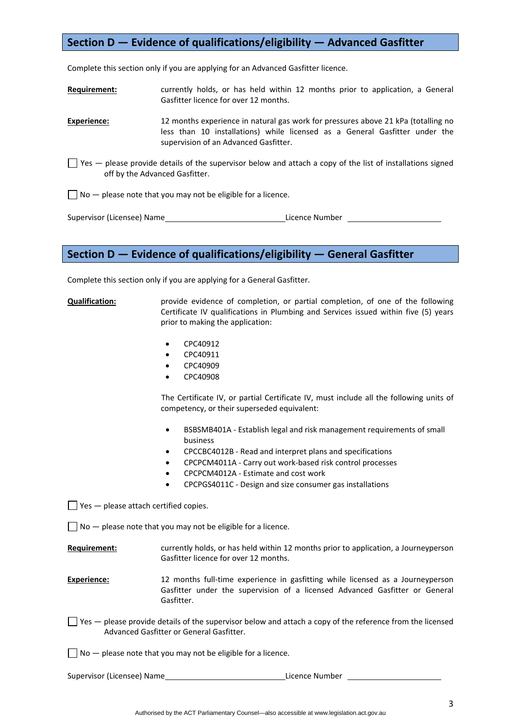# **Section D — Evidence of qualifications/eligibility — Advanced Gasfitter**

Complete this section only if you are applying for an Advanced Gasfitter licence.

**Requirement:** currently holds, or has held within 12 months prior to application, a General Gasfitter licence for over 12 months.

**Experience:** 12 months experience in natural gas work for pressures above 21 kPa (totalling no less than 10 installations) while licensed as a General Gasfitter under the supervision of an Advanced Gasfitter.

 $\Box$  Yes  $-$  please provide details of the supervisor below and attach a copy of the list of installations signed off by the Advanced Gasfitter.

 $\Box$  No  $-$  please note that you may not be eligible for a licence.

Supervisor (Licensee) Name **Example 2018** Licence Number

## **Section D — Evidence of qualifications/eligibility — General Gasfitter**

Complete this section only if you are applying for a General Gasfitter.

**Qualification:** provide evidence of completion, or partial completion, of one of the following Certificate IV qualifications in Plumbing and Services issued within five (5) years prior to making the application:

- CPC40912
- CPC40911
- CPC40909
- CPC40908

The Certificate IV, or partial Certificate IV, must include all the following units of competency, or their superseded equivalent:

- BSBSMB401A ‐ Establish legal and risk management requirements of small business
- CPCCBC4012B ‐ Read and interpret plans and specifications
- CPCPCM4011A ‐ Carry out work‐based risk control processes
- CPCPCM4012A ‐ Estimate and cost work
- CPCPGS4011C ‐ Design and size consumer gas installations

 $\Box$  Yes  $-$  please attach certified copies.

 $\Box$  No  $-$  please note that you may not be eligible for a licence.

**Requirement:** currently holds, or has held within 12 months prior to application, a Journeyperson Gasfitter licence for over 12 months.

**Experience:** 12 months full-time experience in gasfitting while licensed as a Journeyperson Gasfitter under the supervision of a licensed Advanced Gasfitter or General Gasfitter.

- $\Box$  Yes please provide details of the supervisor below and attach a copy of the reference from the licensed Advanced Gasfitter or General Gasfitter.
- $\Box$  No  $-$  please note that you may not be eligible for a licence.

Supervisor (Licensee) Name **Bank Constants Constants Constants Constants Constants Constants Constants Constants Constants Constants Constants Constants Constants Constants Constants Constants Constants Constants Constants**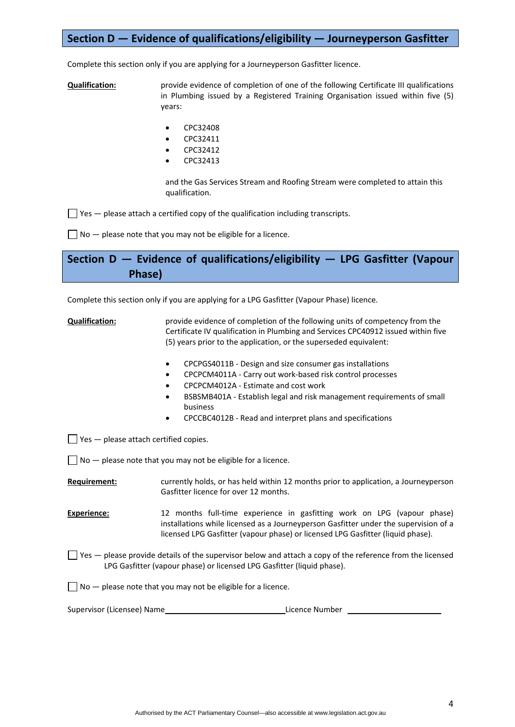# **Section D — Evidence of qualifications/eligibility — Journeyperson Gasfitter**

Complete this section only if you are applying for a Journeyperson Gasfitter licence.

**Qualification:** provide evidence of completion of one of the following Certificate III qualifications in Plumbing issued by a Registered Training Organisation issued within five (5) years:

- CPC32408
- CPC32411
- CPC32412
- CPC32413

and the Gas Services Stream and Roofing Stream were completed to attain this qualification.

 $\Box$  Yes  $-$  please attach a certified copy of the qualification including transcripts.

 $\Box$  No  $-$  please note that you may not be eligible for a licence.

**Section D — Evidence of qualifications/eligibility — LPG Gasfitter (Vapour Phase)** 

Complete this section only if you are applying for a LPG Gasfitter (Vapour Phase) licence.

**Qualification:** provide evidence of completion of the following units of competency from the Certificate IV qualification in Plumbing and Services CPC40912 issued within five (5) years prior to the application, or the superseded equivalent:

- CPCPGS4011B ‐ Design and size consumer gas installations
- CPCPCM4011A ‐ Carry out work‐based risk control processes
- CPCPCM4012A ‐ Estimate and cost work
- BSBSMB401A ‐ Establish legal and risk management requirements of small business
- CPCCBC4012B ‐ Read and interpret plans and specifications

 $\Box$  Yes  $-$  please attach certified copies.

 $\Box$  No  $-$  please note that you may not be eligible for a licence.

**Requirement:** currently holds, or has held within 12 months prior to application, a Journeyperson Gasfitter licence for over 12 months.

**Experience:** 12 months full-time experience in gasfitting work on LPG (vapour phase) installations while licensed as a Journeyperson Gasfitter under the supervision of a licensed LPG Gasfitter (vapour phase) or licensed LPG Gasfitter (liquid phase).

 $\Box$  Yes  $-$  please provide details of the supervisor below and attach a copy of the reference from the licensed LPG Gasfitter (vapour phase) or licensed LPG Gasfitter (liquid phase).

 $\Box$  No  $-$  please note that you may not be eligible for a licence.

Supervisor (Licensee) Name **Base Community** Control and Licence Number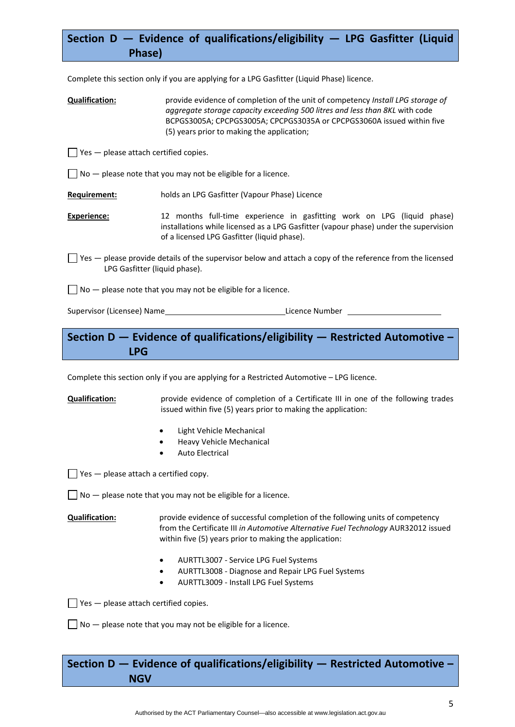# **Section D — Evidence of qualifications/eligibility — LPG Gasfitter (Liquid Phase)**

Complete this section only if you are applying for a LPG Gasfitter (Liquid Phase) licence.

**Qualification:** provide evidence of completion of the unit of competency *Install LPG storage of aggregate storage capacity exceeding 500 litres and less than 8KL* with code BCPGS3005A; CPCPGS3005A; CPCPGS3035A or CPCPGS3060A issued within five (5) years prior to making the application;

 $\Box$  Yes  $-$  please attach certified copies.

 $\Box$  No  $-$  please note that you may not be eligible for a licence.

**Requirement:** holds an LPG Gasfitter (Vapour Phase) Licence

**Experience:** 12 months full-time experience in gasfitting work on LPG (liquid phase) installations while licensed as a LPG Gasfitter (vapour phase) under the supervision of a licensed LPG Gasfitter (liquid phase).

 $\Box$  Yes — please provide details of the supervisor below and attach a copy of the reference from the licensed LPG Gasfitter (liquid phase).

 $\Box$  No  $-$  please note that you may not be eligible for a licence.

Supervisor (Licensee) Name **Example 2018** Licence Number **Licence Number** 

# **Section D — Evidence of qualifications/eligibility — Restricted Automotive – LPG**

Complete this section only if you are applying for a Restricted Automotive – LPG licence.

**Qualification:** provide evidence of completion of a Certificate III in one of the following trades issued within five (5) years prior to making the application:

- Light Vehicle Mechanical
- Heavy Vehicle Mechanical
- Auto Electrical

 $\Box$  Yes  $-$  please attach a certified copy.

 $\Box$  No  $-$  please note that you may not be eligible for a licence.

**Qualification:** provide evidence of successful completion of the following units of competency from the Certificate III *in Automotive Alternative Fuel Technology* AUR32012 issued within five (5) years prior to making the application:

- AURTTL3007 ‐ Service LPG Fuel Systems
- AURTTL3008 ‐ Diagnose and Repair LPG Fuel Systems
- AURTTL3009 ‐ Install LPG Fuel Systems

 $\Box$  Yes  $-$  please attach certified copies.

 $\Box$  No  $-$  please note that you may not be eligible for a licence.

**Section D — Evidence of qualifications/eligibility — Restricted Automotive – NGV**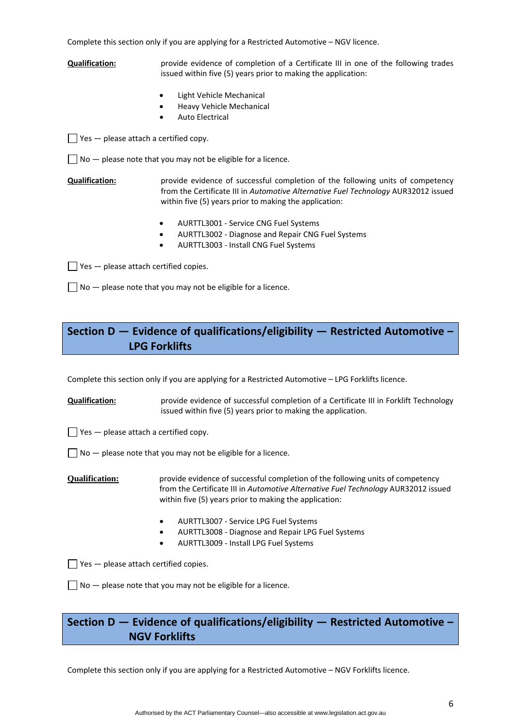Complete this section only if you are applying for a Restricted Automotive – NGV licence.

**Qualification:** provide evidence of completion of a Certificate III in one of the following trades issued within five (5) years prior to making the application:

- Light Vehicle Mechanical
- Heavy Vehicle Mechanical
- Auto Electrical

 $\Box$  Yes — please attach a certified copy.

 $\Box$  No  $-$  please note that you may not be eligible for a licence.

**Qualification:** *provide evidence of successful completion of the following units of competency* from the Certificate III in *Automotive Alternative Fuel Technology* AUR32012 issued within five (5) years prior to making the application:

- AURTTL3001 ‐ Service CNG Fuel Systems
- AURTTL3002 ‐ Diagnose and Repair CNG Fuel Systems
- AURTTL3003 ‐ Install CNG Fuel Systems

 $\Box$  Yes  $-$  please attach certified copies.

 $\Box$  No  $-$  please note that you may not be eligible for a licence.

# **Section D — Evidence of qualifications/eligibility — Restricted Automotive – LPG Forklifts**

Complete this section only if you are applying for a Restricted Automotive – LPG Forklifts licence.

**Qualification:** provide evidence of successful completion of a Certificate III in Forklift Technology issued within five (5) years prior to making the application.

 $\Box$  Yes  $-$  please attach a certified copy.

 $\Box$  No  $-$  please note that you may not be eligible for a licence.

**Qualification:** provide evidence of successful completion of the following units of competency from the Certificate III in *Automotive Alternative Fuel Technology* AUR32012 issued within five (5) years prior to making the application:

- AURTTL3007 ‐ Service LPG Fuel Systems
- AURTTL3008 ‐ Diagnose and Repair LPG Fuel Systems
- AURTTL3009 ‐ Install LPG Fuel Systems

 $\Box$  Yes  $-$  please attach certified copies.

 $\Box$  No  $-$  please note that you may not be eligible for a licence.

# **Section D — Evidence of qualifications/eligibility — Restricted Automotive – NGV Forklifts**

Complete this section only if you are applying for a Restricted Automotive – NGV Forklifts licence.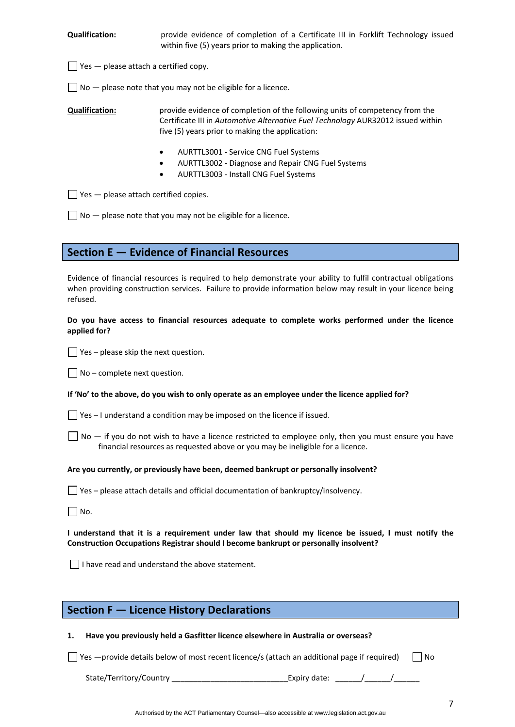**Qualification:** provide evidence of completion of a Certificate III in Forklift Technology issued within five (5) years prior to making the application.

 $\Box$  Yes  $-$  please attach a certified copy.

 $\Box$  No  $-$  please note that you may not be eligible for a licence.

**Qualification:** provide evidence of completion of the following units of competency from the Certificate III in *Automotive Alternative Fuel Technology* AUR32012 issued within five (5) years prior to making the application:

- AURTTL3001 ‐ Service CNG Fuel Systems
- AURTTL3002 ‐ Diagnose and Repair CNG Fuel Systems
- AURTTL3003 ‐ Install CNG Fuel Systems

 $\Box$  Yes  $-$  please attach certified copies.

 $\Box$  No  $-$  please note that you may not be eligible for a licence.

## **Section E — Evidence of Financial Resources**

Evidence of financial resources is required to help demonstrate your ability to fulfil contractual obligations when providing construction services. Failure to provide information below may result in your licence being refused.

### **Do you have access to financial resources adequate to complete works performed under the licence applied for?**

 $\Box$  Yes – please skip the next question.

 $\Box$  No – complete next question.

#### If 'No' to the above, do you wish to only operate as an employee under the licence applied for?

 $\Box$  Yes – I understand a condition may be imposed on the licence if issued.

 $\Box$  No  $-$  if you do not wish to have a licence restricted to employee only, then you must ensure you have financial resources as requested above or you may be ineligible for a licence.

#### **Are you currently, or previously have been, deemed bankrupt or personally insolvent?**

 $\Box$  Yes – please attach details and official documentation of bankruptcy/insolvency.

 $\Box$  No.

I understand that it is a requirement under law that should my licence be issued, I must notify the **Construction Occupations Registrar should I become bankrupt or personally insolvent?** 

 $\Box$  I have read and understand the above statement.

# **Section F — Licence History Declarations**

#### **1. Have you previously held a Gasfitter licence elsewhere in Australia or overseas?**

 $\Box$  Yes —provide details below of most recent licence/s (attach an additional page if required)  $\Box$  No

| State/Territory/Country | Expiry date: |  |  |
|-------------------------|--------------|--|--|
|                         |              |  |  |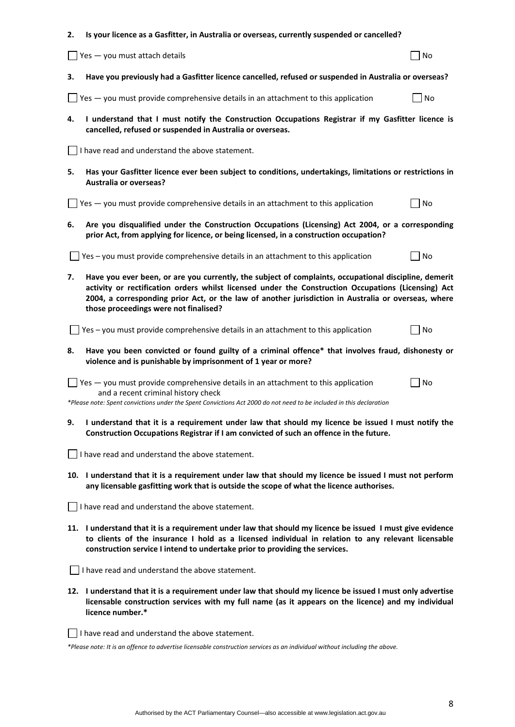| 2. | Is your licence as a Gasfitter, in Australia or overseas, currently suspended or cancelled?                                                                                                                                                                                                                                                                  |    |  |  |  |  |
|----|--------------------------------------------------------------------------------------------------------------------------------------------------------------------------------------------------------------------------------------------------------------------------------------------------------------------------------------------------------------|----|--|--|--|--|
|    | Yes - you must attach details                                                                                                                                                                                                                                                                                                                                | No |  |  |  |  |
| з. | Have you previously had a Gasfitter licence cancelled, refused or suspended in Australia or overseas?                                                                                                                                                                                                                                                        |    |  |  |  |  |
|    | Yes - you must provide comprehensive details in an attachment to this application                                                                                                                                                                                                                                                                            | No |  |  |  |  |
| 4. | I understand that I must notify the Construction Occupations Registrar if my Gasfitter licence is<br>cancelled, refused or suspended in Australia or overseas.                                                                                                                                                                                               |    |  |  |  |  |
|    | I have read and understand the above statement.                                                                                                                                                                                                                                                                                                              |    |  |  |  |  |
| 5. | Has your Gasfitter licence ever been subject to conditions, undertakings, limitations or restrictions in<br><b>Australia or overseas?</b>                                                                                                                                                                                                                    |    |  |  |  |  |
|    | Yes - you must provide comprehensive details in an attachment to this application                                                                                                                                                                                                                                                                            | No |  |  |  |  |
| 6. | Are you disqualified under the Construction Occupations (Licensing) Act 2004, or a corresponding<br>prior Act, from applying for licence, or being licensed, in a construction occupation?                                                                                                                                                                   |    |  |  |  |  |
|    | Yes - you must provide comprehensive details in an attachment to this application                                                                                                                                                                                                                                                                            | No |  |  |  |  |
| 7. | Have you ever been, or are you currently, the subject of complaints, occupational discipline, demerit<br>activity or rectification orders whilst licensed under the Construction Occupations (Licensing) Act<br>2004, a corresponding prior Act, or the law of another jurisdiction in Australia or overseas, where<br>those proceedings were not finalised? |    |  |  |  |  |
|    | Yes - you must provide comprehensive details in an attachment to this application                                                                                                                                                                                                                                                                            | No |  |  |  |  |
| 8. | Have you been convicted or found guilty of a criminal offence* that involves fraud, dishonesty or<br>violence and is punishable by imprisonment of 1 year or more?                                                                                                                                                                                           |    |  |  |  |  |
|    | Yes - you must provide comprehensive details in an attachment to this application<br>and a recent criminal history check<br>*Please note: Spent convictions under the Spent Convictions Act 2000 do not need to be included in this declaration                                                                                                              | No |  |  |  |  |
| 9. | I understand that it is a requirement under law that should my licence be issued I must notify the<br>Construction Occupations Registrar if I am convicted of such an offence in the future.                                                                                                                                                                 |    |  |  |  |  |
|    | $\Box$ I have read and understand the above statement.                                                                                                                                                                                                                                                                                                       |    |  |  |  |  |
|    | 10. I understand that it is a requirement under law that should my licence be issued I must not perform<br>any licensable gasfitting work that is outside the scope of what the licence authorises.                                                                                                                                                          |    |  |  |  |  |
|    | $\vert \ \vert$ I have read and understand the above statement.                                                                                                                                                                                                                                                                                              |    |  |  |  |  |
|    | 11. I understand that it is a requirement under law that should my licence be issued I must give evidence<br>to clients of the insurance I hold as a licensed individual in relation to any relevant licensable<br>construction service I intend to undertake prior to providing the services.                                                               |    |  |  |  |  |
|    | I have read and understand the above statement.                                                                                                                                                                                                                                                                                                              |    |  |  |  |  |
|    | 12. I understand that it is a requirement under law that should my licence be issued I must only advertise<br>licensable construction services with my full name (as it appears on the licence) and my individual<br>licence number.*                                                                                                                        |    |  |  |  |  |
|    | I have read and understand the above statement.                                                                                                                                                                                                                                                                                                              |    |  |  |  |  |

\*Please note: It is an offence to advertise licensable construction services as an individual without including the above.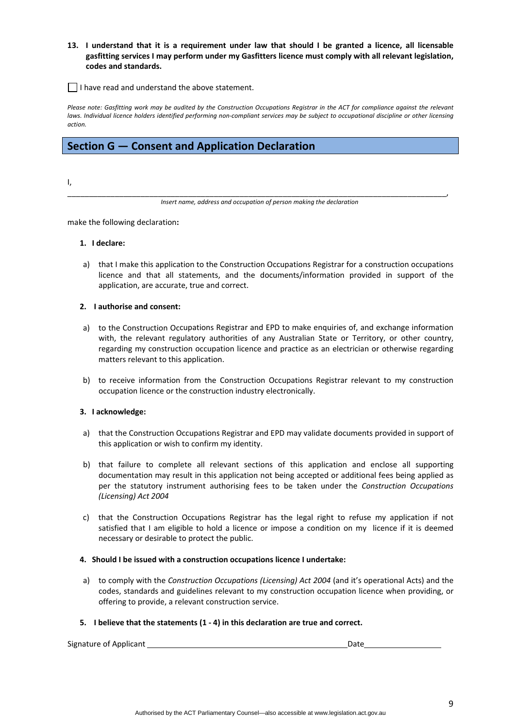#### 13. I understand that it is a requirement under law that should I be granted a licence, all licensable **gasfitting services I may perform under my Gasfitters licence must comply with all relevant legislation, codes and standards.**

 $\Box$  I have read and understand the above statement.

Please note: Gasfittina work may be audited by the Construction Occupations Reaistrar in the ACT for compliance against the relevant laws. Individual licence holders identified performing non-compliant services may be subject to occupational discipline or other licensing *action.*

# **Section G — Consent and Application Declaration**

I,

\_\_\_\_\_\_\_\_\_\_\_\_\_\_\_\_\_\_\_\_\_\_\_\_\_\_\_\_\_\_\_\_\_\_\_\_\_\_\_\_\_\_\_\_\_\_\_\_\_\_\_\_\_\_\_\_\_\_\_\_\_\_\_\_\_\_\_\_\_\_\_\_\_\_\_\_\_\_\_\_\_\_\_\_\_\_\_\_, *Insert name, address and occupation of person making the declaration*

make the following declaration**:**

#### **1. I declare:**

a) that I make this application to the Construction Occupations Registrar for a construction occupations licence and that all statements, and the documents/information provided in support of the application, are accurate, true and correct.

#### **2. I authorise and consent:**

- a) to the Construction Occupations Registrar and EPD to make enquiries of, and exchange information with, the relevant regulatory authorities of any Australian State or Territory, or other country, regarding my construction occupation licence and practice as an electrician or otherwise regarding matters relevant to this application.
- b) to receive information from the Construction Occupations Registrar relevant to my construction occupation licence or the construction industry electronically.

#### **3. I acknowledge:**

- a) that the Construction Occupations Registrar and EPD may validate documents provided in support of this application or wish to confirm my identity.
- b) that failure to complete all relevant sections of this application and enclose all supporting documentation may result in this application not being accepted or additional fees being applied as per the statutory instrument authorising fees to be taken under the *Construction Occupations (Licensing) Act 2004*
- c) that the Construction Occupations Registrar has the legal right to refuse my application if not satisfied that I am eligible to hold a licence or impose a condition on my licence if it is deemed necessary or desirable to protect the public.

#### **4. Should I be issued with a construction occupations licence I undertake:**

a) to comply with the *Construction Occupations (Licensing) Act 2004* (and it's operational Acts) and the codes, standards and guidelines relevant to my construction occupation licence when providing, or offering to provide, a relevant construction service.

#### **5. I believe that the statements (1 ‐ 4) in this declaration are true and correct.**

Signature of Applicant **1000 manufacture of Applicant** 1000 manufacture of Applicant 1000 manufacture of  $\frac{1}{2}$